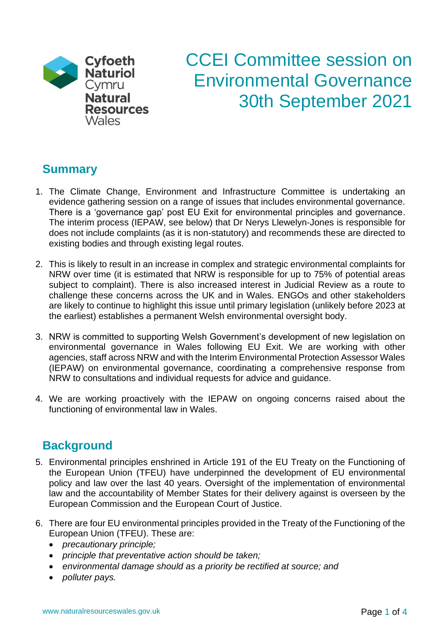

# CCEI Committee session on Environmental Governance 30th September 2021

## **Summary**

- 1. The Climate Change, Environment and Infrastructure Committee is undertaking an evidence gathering session on a range of issues that includes environmental governance. There is a 'governance gap' post EU Exit for environmental principles and governance. The interim process (IEPAW, see below) that Dr Nerys Llewelyn-Jones is responsible for does not include complaints (as it is non-statutory) and recommends these are directed to existing bodies and through existing legal routes.
- 2. This is likely to result in an increase in complex and strategic environmental complaints for NRW over time (it is estimated that NRW is responsible for up to 75% of potential areas subject to complaint). There is also increased interest in Judicial Review as a route to challenge these concerns across the UK and in Wales. ENGOs and other stakeholders are likely to continue to highlight this issue until primary legislation (unlikely before 2023 at the earliest) establishes a permanent Welsh environmental oversight body.
- 3. NRW is committed to supporting Welsh Government's development of new legislation on environmental governance in Wales following EU Exit. We are working with other agencies, staff across NRW and with the Interim Environmental Protection Assessor Wales (IEPAW) on environmental governance, coordinating a comprehensive response from NRW to consultations and individual requests for advice and guidance.
- 4. We are working proactively with the IEPAW on ongoing concerns raised about the functioning of environmental law in Wales.

## **Background**

- 5. Environmental principles enshrined in Article 191 of the EU Treaty on the Functioning of the European Union (TFEU) have underpinned the development of EU environmental policy and law over the last 40 years. Oversight of the implementation of environmental law and the accountability of Member States for their delivery against is overseen by the European Commission and the European Court of Justice.
- 6. There are four EU environmental principles provided in the Treaty of the Functioning of the European Union (TFEU). These are:
	- *precautionary principle;*
	- *principle that preventative action should be taken;*
	- *environmental damage should as a priority be rectified at source; and*
	- *polluter pays.*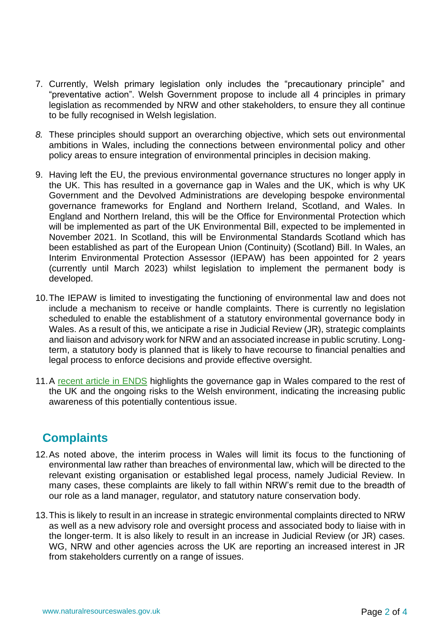- 7. Currently, Welsh primary legislation only includes the "precautionary principle" and "preventative action". Welsh Government propose to include all 4 principles in primary legislation as recommended by NRW and other stakeholders, to ensure they all continue to be fully recognised in Welsh legislation.
- *8.* These principles should support an overarching objective, which sets out environmental ambitions in Wales, including the connections between environmental policy and other policy areas to ensure integration of environmental principles in decision making.
- 9. Having left the EU, the previous environmental governance structures no longer apply in the UK. This has resulted in a governance gap in Wales and the UK, which is why UK Government and the Devolved Administrations are developing bespoke environmental governance frameworks for England and Northern Ireland, Scotland, and Wales. In England and Northern Ireland, this will be the Office for Environmental Protection which will be implemented as part of the UK Environmental Bill, expected to be implemented in November 2021. In Scotland, this will be Environmental Standards Scotland which has been established as part of the European Union (Continuity) (Scotland) Bill. In Wales, an Interim Environmental Protection Assessor (IEPAW) has been appointed for 2 years (currently until March 2023) whilst legislation to implement the permanent body is developed.
- 10.The IEPAW is limited to investigating the functioning of environmental law and does not include a mechanism to receive or handle complaints. There is currently no legislation scheduled to enable the establishment of a statutory environmental governance body in Wales. As a result of this, we anticipate a rise in Judicial Review (JR), strategic complaints and liaison and advisory work for NRW and an associated increase in public scrutiny. Longterm, a statutory body is planned that is likely to have recourse to financial penalties and legal process to enforce decisions and provide effective oversight.
- 11. A [recent article in ENDS](https://www.endsreport.com/article/1722308/mind-governance-gap-will-environmental-crimes-go-unpunished?bulletin=ends-report-daily-bulletin&utm_medium=EMAIL&utm_campaign=eNews%20Bulletin&utm_source=20210719&utm_content=ENDS%20Report%20Daily%20(275)::www_endsreport_com_articl_7&email_hash=) highlights the governance gap in Wales compared to the rest of the UK and the ongoing risks to the Welsh environment, indicating the increasing public awareness of this potentially contentious issue.

## **Complaints**

- 12.As noted above, the interim process in Wales will limit its focus to the functioning of environmental law rather than breaches of environmental law, which will be directed to the relevant existing organisation or established legal process, namely Judicial Review. In many cases, these complaints are likely to fall within NRW's remit due to the breadth of our role as a land manager, regulator, and statutory nature conservation body.
- 13.This is likely to result in an increase in strategic environmental complaints directed to NRW as well as a new advisory role and oversight process and associated body to liaise with in the longer-term. It is also likely to result in an increase in Judicial Review (or JR) cases. WG, NRW and other agencies across the UK are reporting an increased interest in JR from stakeholders currently on a range of issues.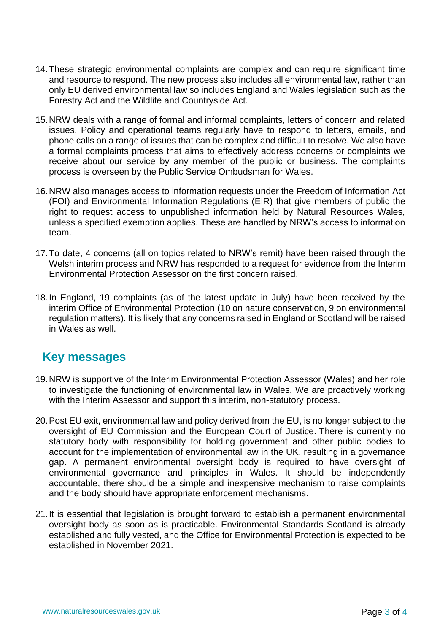- 14.These strategic environmental complaints are complex and can require significant time and resource to respond. The new process also includes all environmental law, rather than only EU derived environmental law so includes England and Wales legislation such as the Forestry Act and the Wildlife and Countryside Act.
- 15.NRW deals with a range of formal and informal complaints, letters of concern and related issues. Policy and operational teams regularly have to respond to letters, emails, and phone calls on a range of issues that can be complex and difficult to resolve. We also have a formal complaints process that aims to effectively address concerns or complaints we receive about our service by any member of the public or business. The complaints process is overseen by the Public Service Ombudsman for Wales.
- 16.NRW also manages access to information requests under the Freedom of Information Act (FOI) and Environmental Information Regulations (EIR) that give members of public the right to request access to unpublished information held by Natural Resources Wales, unless a specified exemption applies. These are handled by NRW's access to information team.
- 17.To date, 4 concerns (all on topics related to NRW's remit) have been raised through the Welsh interim process and NRW has responded to a request for evidence from the Interim Environmental Protection Assessor on the first concern raised.
- 18.In England, 19 complaints (as of the latest update in July) have been received by the interim Office of Environmental Protection (10 on nature conservation, 9 on environmental regulation matters). It is likely that any concerns raised in England or Scotland will be raised in Wales as well.

### **Key messages**

- 19.NRW is supportive of the Interim Environmental Protection Assessor (Wales) and her role to investigate the functioning of environmental law in Wales. We are proactively working with the Interim Assessor and support this interim, non-statutory process.
- 20.Post EU exit, environmental law and policy derived from the EU, is no longer subject to the oversight of EU Commission and the European Court of Justice. There is currently no statutory body with responsibility for holding government and other public bodies to account for the implementation of environmental law in the UK, resulting in a governance gap. A permanent environmental oversight body is required to have oversight of environmental governance and principles in Wales. It should be independently accountable, there should be a simple and inexpensive mechanism to raise complaints and the body should have appropriate enforcement mechanisms.
- 21.It is essential that legislation is brought forward to establish a permanent environmental oversight body as soon as is practicable. Environmental Standards Scotland is already established and fully vested, and the Office for Environmental Protection is expected to be established in November 2021.